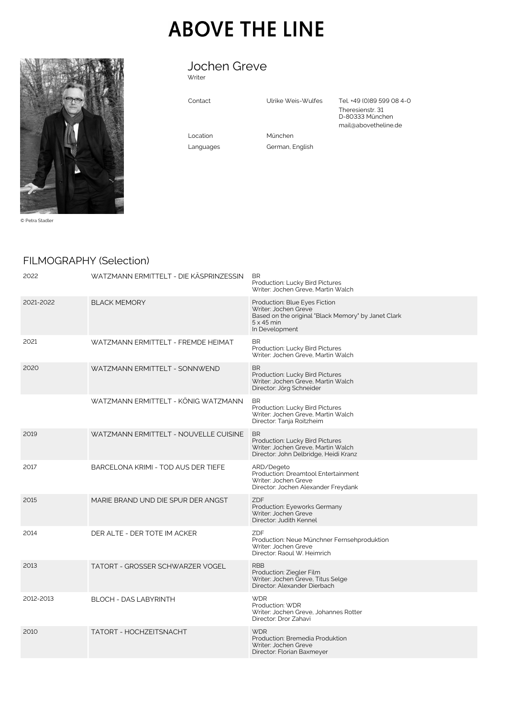# **ABOVE THE LINE**



© Petra Stadler

#### Jochen Greve Writer

Contact Ulrike Weis-Wulfes Tel. +49 (0)89 599 08 4-0 Theresienstr. 31 D-80333 München mail@abovetheline.de

Location München

Languages German, English

## FILMOGRAPHY (Selection)

| 2022      | WATZMANN ERMITTELT - DIE KÄSPRINZESSIN | <b>BR</b><br>Production: Lucky Bird Pictures<br>Writer: Jochen Greve, Martin Walch                                                                  |
|-----------|----------------------------------------|-----------------------------------------------------------------------------------------------------------------------------------------------------|
| 2021-2022 | <b>BLACK MEMORY</b>                    | Production: Blue Eyes Fiction<br>Writer: Jochen Greve<br>Based on the original "Black Memory" by Janet Clark<br>$5 \times 45$ min<br>In Development |
| 2021      | WATZMANN ERMITTELT - FREMDE HEIMAT     | <b>BR</b><br>Production: Lucky Bird Pictures<br>Writer: Jochen Greve, Martin Walch                                                                  |
| 2020      | WATZMANN ERMITTELT - SONNWEND          | <b>BR</b><br>Production: Lucky Bird Pictures<br>Writer: Jochen Greve, Martin Walch<br>Director: Jörg Schneider                                      |
|           | WATZMANN ERMITTELT - KÖNIG WATZMANN    | <b>BR</b><br>Production: Lucky Bird Pictures<br>Writer: Jochen Greve, Martin Walch<br>Director: Tanja Roitzheim                                     |
| 2019      | WATZMANN ERMITTELT - NOUVELLE CUISINE  | <b>BR</b><br>Production: Lucky Bird Pictures<br>Writer: Jochen Greve, Martin Walch<br>Director: John Delbridge, Heidi Kranz                         |
| 2017      | BARCELONA KRIMI - TOD AUS DER TIEFE    | ARD/Degeto<br>Production: Dreamtool Entertainment<br>Writer: Jochen Greve<br>Director: Jochen Alexander Freydank                                    |
| 2015      | MARIE BRAND UND DIE SPUR DER ANGST     | ZDF<br>Production: Eyeworks Germany<br>Writer: Jochen Greve<br>Director: Judith Kennel                                                              |
| 2014      | DER ALTE - DER TOTE IM ACKER           | ZDF<br>Production: Neue Münchner Fernsehproduktion<br>Writer: Jochen Greve<br>Director: Raoul W. Heimrich                                           |
| 2013      | TATORT - GROSSER SCHWARZER VOGEL       | <b>RBB</b><br>Production: Ziegler Film<br>Writer: Jochen Greve, Titus Selge<br>Director: Alexander Dierbach                                         |
| 2012-2013 | <b>BLOCH - DAS LABYRINTH</b>           | <b>WDR</b><br>Production: WDR<br>Writer: Jochen Greve, Johannes Rotter<br>Director: Dror Zahavi                                                     |
| 2010      | TATORT - HOCHZEITSNACHT                | <b>WDR</b><br>Production: Bremedia Produktion<br>Writer: Jochen Greve<br>Director: Florian Baxmeyer                                                 |
|           |                                        |                                                                                                                                                     |